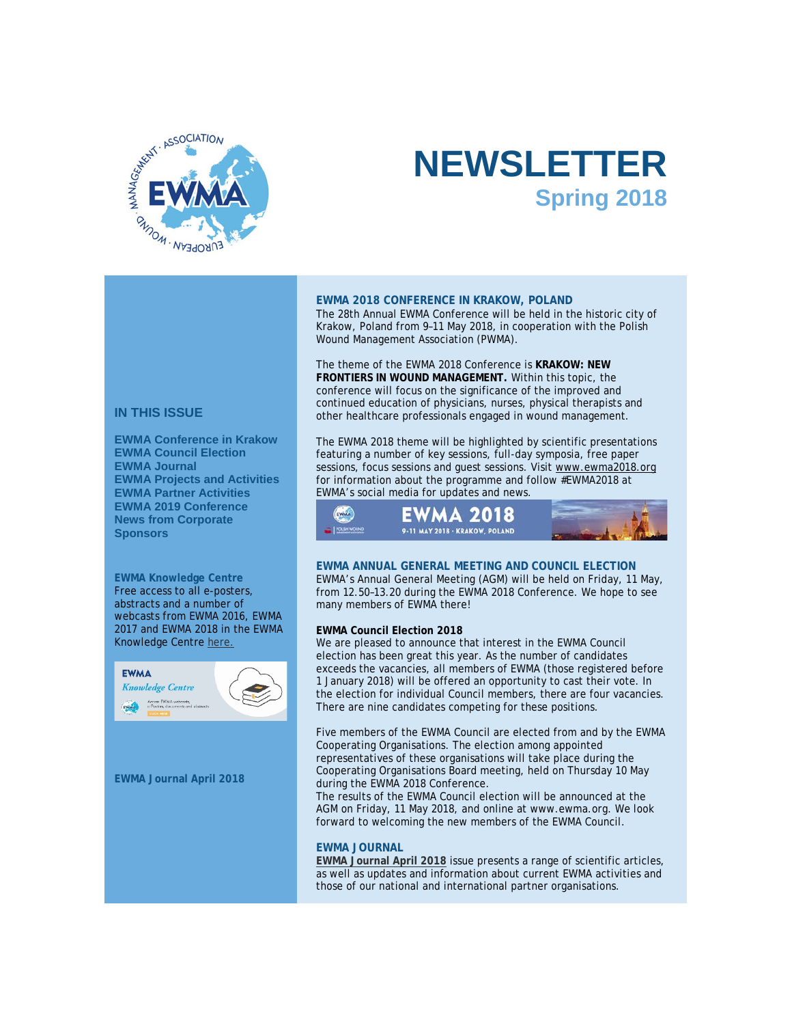

# **NEWSLETTER Spring 2018**

### **EWMA 2018 CONFERENCE IN KRAKOW, POLAND**

The 28th Annual EWMA Conference will be held in the historic city of Krakow, Poland from 9–11 May 2018, in cooperation with the Polish Wound Management Association (PWMA).

The theme of the EWMA 2018 Conference is **KRAKOW: NEW FRONTIERS IN WOUND MANAGEMENT.** Within this topic, the conference will focus on the significance of the improved and continued education of physicians, nurses, physical therapists and other healthcare professionals engaged in wound management.

The EWMA 2018 theme will be highlighted by scientific presentations featuring a number of key sessions, full-day symposia, free paper sessions, focus sessions and guest sessions. Visi[t www.ewma2018.org](http://click.icptrack.com/icp/relay.php?r=&msgid=2092131&act=111111&c=614578&destination=http%3A%2F%2Fwww.ewma2018.org) for information about the programme and follow #EWMA2018 at EWMA's social media for updates and news.



# **EWMA ANNUAL GENERAL MEETING AND COUNCIL ELECTION**

EWMA's Annual General Meeting (AGM) will be held on Friday, 11 May, from 12.50–13.20 during the EWMA 2018 Conference. We hope to see many members of EWMA there!

### **EWMA Council Election 2018**

We are pleased to announce that interest in the EWMA Council election has been great this year. As the number of candidates exceeds the vacancies, all members of EWMA (those registered before 1 January 2018) will be offered an opportunity to cast their vote. In the election for individual Council members, there are four vacancies. There are nine candidates competing for these positions.

Five members of the EWMA Council are elected from and by the EWMA Cooperating Organisations. The election among appointed representatives of these organisations will take place during the Cooperating Organisations Board meeting, held on Thursday 10 May during the EWMA 2018 Conference.

The results of the EWMA Council election will be announced at the AGM on Friday, 11 May 2018, and online at www.ewma.org. We look forward to welcoming the new members of the EWMA Council.

# **EWMA JOURNAL**

**[EWMA Journal April 2018](http://click.icptrack.com/icp/relay.php?r=&msgid=2092131&act=111111&c=614578&destination=http%3A%2F%2Fewma.org%2Fit%2Fwhat-we-do%2Fewma-journal%2F)** issue presents a range of scientific articles, as well as updates and information about current EWMA activities and those of our national and international partner organisations.

# **IN THIS ISSUE**

**[EWMA Conference in Krakow](https://app.icontact.com/icp/core/message/preview/content/2092131#EWMA%20Conference%20Amsterdam) [EWMA Council Election](https://app.icontact.com/icp/core/message/preview/content/2092131#CouncilElection) [EWMA Journal](https://app.icontact.com/icp/core/message/preview/content/2092131#EWMA%20Journal) [EWMA Projects and Activities](https://app.icontact.com/icp/core/message/preview/content/2092131#EWMA%20projects%20&%20activities) [EWMA Partner Activities](https://app.icontact.com/icp/core/message/preview/content/2092131#EWMA%20Partner%20activities) [EWMA 2019 Conference](https://app.icontact.com/icp/core/message/preview/content/2092131#EWMA%20Conference%202019) [News from Corporate](https://app.icontact.com/icp/core/message/preview/content/2092131#Sponsor%20news)  [Sponsors](https://app.icontact.com/icp/core/message/preview/content/2092131#Sponsor%20news)**

**EWMA Knowledge Centre** Free access to all e-posters, abstracts and a number of webcasts from EWMA 2016, EWMA 2017 and EWMA 2018 in the EWMA Knowledge Centr[e here.](http://click.icptrack.com/icp/relay.php?r=&msgid=2092131&act=111111&c=614578&destination=http%3A%2F%2Fewma.conference2web.com%2F)



**EWMA Journal April 2018**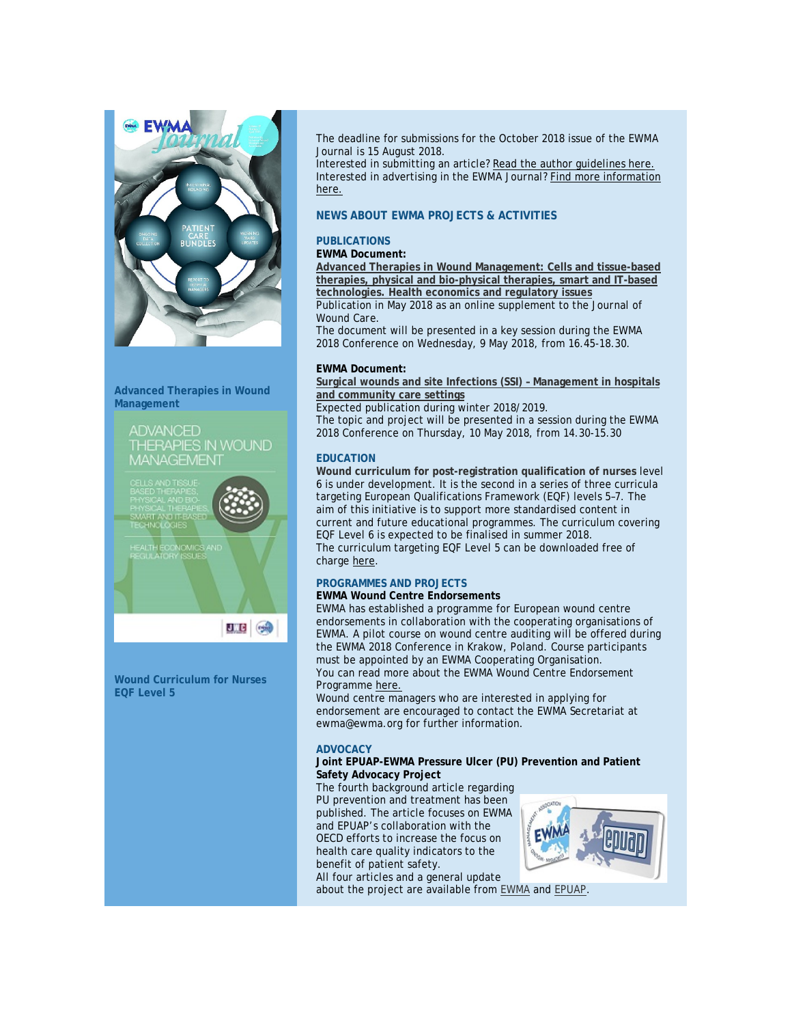

**Advanced Therapies in Wound Management**



**VD TISSUE** 

**ULB** GO

**Wound Curriculum for Nurses EQF Level 5**

The deadline for submissions for the October 2018 issue of the *EWMA Journal* is 15 August 2018.

Interested in submitting an article? [Read the author guidelines here.](http://click.icptrack.com/icp/relay.php?r=&msgid=2092131&act=111111&c=614578&destination=http%3A%2F%2Fwww.ewma.org%2Fwhat-we-do%2Fewma-journal%2Fauthor-guidelines%2F) Interested in advertising in the *EWMA Journal*[? Find more information](http://click.icptrack.com/icp/relay.php?r=&msgid=2092131&act=111111&c=614578&destination=http%3A%2F%2Fewma.org%2Fwhat-we-do%2Fewma-journal%2Fadvertising%2F)  [here.](http://click.icptrack.com/icp/relay.php?r=&msgid=2092131&act=111111&c=614578&destination=http%3A%2F%2Fewma.org%2Fwhat-we-do%2Fewma-journal%2Fadvertising%2F)

### **NEWS ABOUT EWMA PROJECTS & ACTIVITIES**

### **PUBLICATIONS**

# **EWMA Document:**

**[Advanced Therapies in Wound Management: Cells and tissue-based](http://click.icptrack.com/icp/relay.php?r=&msgid=2092131&act=111111&c=614578&destination=http%3A%2F%2Fewma.org%2Fwhat-we-do%2Fewma-projects%2Fwe-are-currently-working-on%2Fadvanced-therapies-in-wound-management%2F)  [therapies, physical and bio-physical therapies, smart and IT-based](http://click.icptrack.com/icp/relay.php?r=&msgid=2092131&act=111111&c=614578&destination=http%3A%2F%2Fewma.org%2Fwhat-we-do%2Fewma-projects%2Fwe-are-currently-working-on%2Fadvanced-therapies-in-wound-management%2F)  [technologies. Health economics and regulatory issues](http://click.icptrack.com/icp/relay.php?r=&msgid=2092131&act=111111&c=614578&destination=http%3A%2F%2Fewma.org%2Fwhat-we-do%2Fewma-projects%2Fwe-are-currently-working-on%2Fadvanced-therapies-in-wound-management%2F)** Publication in May 2018 as an online supplement to the *Journal of Wound Care*.

The document will be presented in a key session during the EWMA 2018 Conference on Wednesday, 9 May 2018, from 16.45-18.30.

### **EWMA Document:**

**[Surgical wounds and site Infections \(SSI\) –](http://click.icptrack.com/icp/relay.php?r=&msgid=2092131&act=111111&c=614578&destination=http%3A%2F%2Fewma.org%2Fit%2Fwhat-we-do%2Fewma-projects%2Fwe-are-currently-working-on%2Fsurgical-site-infections%2F) Management in hospitals [and community care settings](http://click.icptrack.com/icp/relay.php?r=&msgid=2092131&act=111111&c=614578&destination=http%3A%2F%2Fewma.org%2Fit%2Fwhat-we-do%2Fewma-projects%2Fwe-are-currently-working-on%2Fsurgical-site-infections%2F)**

Expected publication during winter 2018/2019.

The topic and project will be presented in a session during the EWMA 2018 Conference on Thursday, 10 May 2018, from 14.30-15.30

### **EDUCATION**

**[Wound curriculum for post-registration qualification of nurses](http://click.icptrack.com/icp/relay.php?r=&msgid=2092131&act=111111&c=614578&destination=http%3A%2F%2Fewma.org%2Fit%2Fwhat-we-do%2Feducation%2Fwoundcurriculum-postregistrationnursequalification-5085%2F)** level 6 is under development. It is the second in a series of three curricula targeting European Qualifications Framework (EQF) levels 5–7. The aim of this initiative is to support more standardised content in current and future educational programmes. The curriculum covering EQF Level 6 is expected to be finalised in summer 2018. The curriculum targeting EQF Level 5 can be downloaded free of charg[e here.](http://click.icptrack.com/icp/relay.php?r=&msgid=2092131&act=111111&c=614578&destination=https%3A%2F%2Fwww.magonlinelibrary.com%2Fpage%2Fjowc%2Fresources)

### **PROGRAMMES AND PROJECTS**

### **EWMA Wound Centre Endorsements**

EWMA has established a programme for European wound centre endorsements in collaboration with the cooperating organisations of EWMA. A pilot course on wound centre auditing will be offered during the EWMA 2018 Conference in Krakow, Poland. Course participants must be appointed by an EWMA Cooperating Organisation. You can read more about the EWMA Wound Centre Endorsement Programm[e here.](http://click.icptrack.com/icp/relay.php?r=&msgid=2092131&act=111111&c=614578&destination=http%3A%2F%2Fewma.org%2Fit%2Fwhat-we-do%2Fcentre-endorsements%2F)

Wound centre managers who are interested in applying for endorsement are encouraged to contact the EWMA Secretariat at ewma@ewma.org for further information.

### **ADVOCACY**

### **[Joint EPUAP-EWMA Pressure Ulcer \(PU\) Prevention and Patient](http://click.icptrack.com/icp/relay.php?r=&msgid=2092131&act=111111&c=614578&destination=http%3A%2F%2Fewma.org%2Fit%2Fwhat-we-do%2Fewma-projects%2Fwe-are-currently-working-on%2Fpu-prevention-and-patient-safety-advocacy%2F)  [Safety Advocacy Project](http://click.icptrack.com/icp/relay.php?r=&msgid=2092131&act=111111&c=614578&destination=http%3A%2F%2Fewma.org%2Fit%2Fwhat-we-do%2Fewma-projects%2Fwe-are-currently-working-on%2Fpu-prevention-and-patient-safety-advocacy%2F)**

The fourth background article regarding PU prevention and treatment has been published. The article focuses on EWMA and EPUAP's collaboration with the OECD efforts to increase the focus on health care quality indicators to the benefit of patient safety.

All four articles and a general update about the project are available from [EWMA](http://click.icptrack.com/icp/relay.php?r=&msgid=2092131&act=111111&c=614578&destination=http%3A%2F%2Fewma.org%2Fit%2Fwhat-we-do%2Fewma-projects%2Fwe-are-currently-working-on%2Fpu-prevention-and-patient-safety-advocacy%2F) and [EPUAP.](http://click.icptrack.com/icp/relay.php?r=&msgid=2092131&act=111111&c=614578&destination=http%3A%2F%2Fwww.epuap.org)

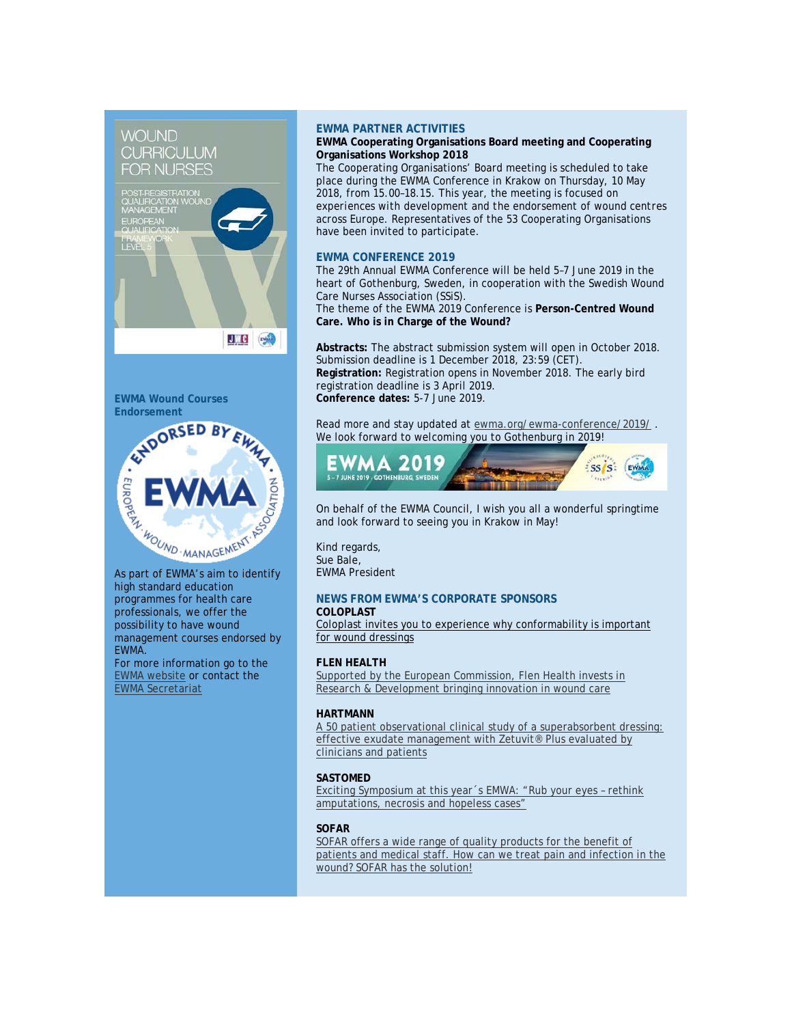# WOL **IND CURRICULUM FOR NURSES**



#### **EWMA Wound Courses Endorsement**



As part of EWMA's aim to identify high standard education programmes for health care professionals, we offer the possibility to have wound management courses endorsed by EWMA. For more information go to the [EWMA website](http://click.icptrack.com/icp/relay.php?r=&msgid=2092131&act=111111&c=614578&destination=http%3A%2F%2Fewma.org%2Fwhat-we-do%2Feducation%2Fewma-endorsements%2F) or contact the

[EWMA Secretariat](mailto:ewma@ewma.org) 

# **EWMA PARTNER ACTIVITIES**

### **EWMA Cooperating Organisations Board meeting and Cooperating Organisations Workshop 2018**

The Cooperating Organisations' Board meeting is scheduled to take place during the EWMA Conference in Krakow on Thursday, 10 May 2018, from 15.00–18.15. This year, the meeting is focused on *experiences with development and the endorsement of wound centres across Europe*. Representatives of the 53 Cooperating Organisations have been invited to participate.

## **EWMA CONFERENCE 2019**

The 29th Annual EWMA Conference will be held 5–7 June 2019 in the heart of Gothenburg, Sweden, in cooperation with the Swedish Wound Care Nurses Association (SSiS).

The theme of the EWMA 2019 Conference is **Person-Centred Wound Care. Who is in Charge of the Wound?**

**Abstracts:** The abstract submission system will open in October 2018. Submission deadline is 1 December 2018, 23:59 (CET). **Registration:** Registration opens in November 2018. The early bird registration deadline is 3 April 2019. **Conference dates:** 5-7 June 2019.

Read more and stay updated a[t ewma.org/ewma-conference/2019/](http://click.icptrack.com/icp/relay.php?r=&msgid=2092131&act=111111&c=614578&destination=http%3A%2F%2Fewma.org%2Fewma-conference%2F2019%2F). We look forward to welcoming you to Gothenburg in 2019!



On behalf of the EWMA Council, I wish you all a wonderful springtime and look forward to seeing you in Krakow in May!

Kind regards, Sue Bale, EWMA President

### **NEWS FROM EWMA'S CORPORATE SPONSORS COLOPLAST**

[Coloplast invites you to experience why conformability is important](http://click.icptrack.com/icp/relay.php?r=&msgid=2092131&act=111111&c=614578&destination=https%3A%2F%2Fwww.coloplast.com%2FProducts%2FWound%2FEWMA%2F%3Futm_source%3DEWMA_Newsletter%26utm_campaign%3DEWMA_2017%26utm_medium%3DEmail)  [for wound dressings](http://click.icptrack.com/icp/relay.php?r=&msgid=2092131&act=111111&c=614578&destination=https%3A%2F%2Fwww.coloplast.com%2FProducts%2FWound%2FEWMA%2F%3Futm_source%3DEWMA_Newsletter%26utm_campaign%3DEWMA_2017%26utm_medium%3DEmail)

# **FLEN HEALTH**

Supported by the European Commission, Flen Health invests in [Research & Development bringing innovation in wound care](http://click.icptrack.com/icp/relay.php?r=&msgid=2092131&act=111111&c=614578&destination=https%3A%2F%2Fyoutu.be%2F9MEINsl85RE)

# **HARTMANN**

[A 50 patient observational clinical study of a superabsorbent dressing:](http://click.icptrack.com/icp/relay.php?r=&msgid=2092131&act=111111&c=614578&destination=https%3A%2F%2Fhartmann.info%2Fen%2Four-expertise%2Fwound-management%2FZetuvit-Plus)  [effective exudate management with Zetuvit® Plus evaluated by](http://click.icptrack.com/icp/relay.php?r=&msgid=2092131&act=111111&c=614578&destination=https%3A%2F%2Fhartmann.info%2Fen%2Four-expertise%2Fwound-management%2FZetuvit-Plus)  [clinicians and patients](http://click.icptrack.com/icp/relay.php?r=&msgid=2092131&act=111111&c=614578&destination=https%3A%2F%2Fhartmann.info%2Fen%2Four-expertise%2Fwound-management%2FZetuvit-Plus)

# **SASTOMED**

[Exciting Symposium at this year´s EMWA: "Rub your eyes –](http://click.icptrack.com/icp/relay.php?r=&msgid=2092131&act=111111&c=614578&destination=http%3A%2F%2Fgranulox.de%2Fen%2Femwa2018) rethink [amputations, necrosis and hopeless cases"](http://click.icptrack.com/icp/relay.php?r=&msgid=2092131&act=111111&c=614578&destination=http%3A%2F%2Fgranulox.de%2Fen%2Femwa2018)

# **SOFAR**

SOFAR offers a wide range of quality products for the benefit of [patients and medical staff. How can we treat pain and infection in the](http://click.icptrack.com/icp/relay.php?r=&msgid=2092131&act=111111&c=614578&destination=http%3A%2F%2Fwww.sofarfarm.it)  [wound? SOFAR has the solution!](http://click.icptrack.com/icp/relay.php?r=&msgid=2092131&act=111111&c=614578&destination=http%3A%2F%2Fwww.sofarfarm.it)